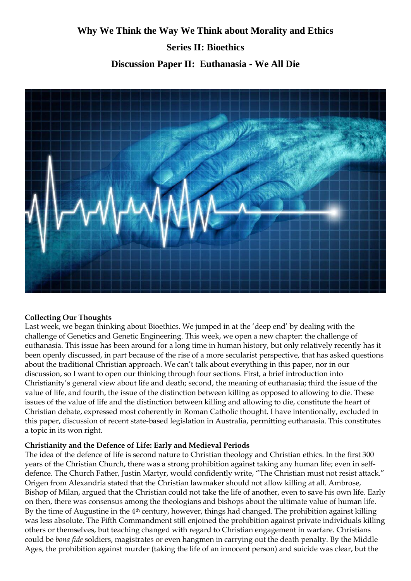# **Why We Think the Way We Think about Morality and Ethics Series II: Bioethics Discussion Paper II: Euthanasia - We All Die**



### **Collecting Our Thoughts**

Last week, we began thinking about Bioethics. We jumped in at the 'deep end' by dealing with the challenge of Genetics and Genetic Engineering. This week, we open a new chapter: the challenge of euthanasia. This issue has been around for a long time in human history, but only relatively recently has it been openly discussed, in part because of the rise of a more secularist perspective, that has asked questions about the traditional Christian approach. We can't talk about everything in this paper, nor in our discussion, so I want to open our thinking through four sections. First, a brief introduction into Christianity's general view about life and death; second, the meaning of euthanasia; third the issue of the value of life, and fourth, the issue of the distinction between killing as opposed to allowing to die. These issues of the value of life and the distinction between killing and allowing to die, constitute the heart of Christian debate, expressed most coherently in Roman Catholic thought. I have intentionally, excluded in this paper, discussion of recent state-based legislation in Australia, permitting euthanasia. This constitutes a topic in its won right.

#### **Christianity and the Defence of Life: Early and Medieval Periods**

The idea of the defence of life is second nature to Christian theology and Christian ethics. In the first 300 years of the Christian Church, there was a strong prohibition against taking any human life; even in selfdefence. The Church Father, Justin Martyr, would confidently write, "The Christian must not resist attack." Origen from Alexandria stated that the Christian lawmaker should not allow killing at all. Ambrose, Bishop of Milan, argued that the Christian could not take the life of another, even to save his own life. Early on then, there was consensus among the theologians and bishops about the ultimate value of human life. By the time of Augustine in the 4<sup>th</sup> century, however, things had changed. The prohibition against killing was less absolute. The Fifth Commandment still enjoined the prohibition against private individuals killing others or themselves, but teaching changed with regard to Christian engagement in warfare. Christians could be *bona fide* soldiers, magistrates or even hangmen in carrying out the death penalty. By the Middle Ages, the prohibition against murder (taking the life of an innocent person) and suicide was clear, but the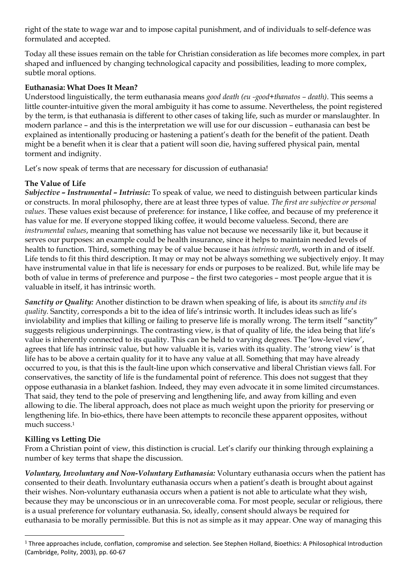right of the state to wage war and to impose capital punishment, and of individuals to self-defence was formulated and accepted.

Today all these issues remain on the table for Christian consideration as life becomes more complex, in part shaped and influenced by changing technological capacity and possibilities, leading to more complex, subtle moral options.

#### **Euthanasia: What Does It Mean?**

Understood linguistically, the term euthanasia means *good death (eu -good+thanatos – death)*. This seems a little counter-intuitive given the moral ambiguity it has come to assume. Nevertheless, the point registered by the term, is that euthanasia is different to other cases of taking life, such as murder or manslaughter. In modern parlance – and this is the interpretation we will use for our discussion – euthanasia can best be explained as intentionally producing or hastening a patient's death for the benefit of the patient. Death might be a benefit when it is clear that a patient will soon die, having suffered physical pain, mental torment and indignity.

Let's now speak of terms that are necessary for discussion of euthanasia!

### **The Value of Life**

*Subjective – Instrumental – Intrinsic:* To speak of value, we need to distinguish between particular kinds or constructs. In moral philosophy, there are at least three types of value. *The first are subjective or personal values*. These values exist because of preference: for instance, I like coffee, and because of my preference it has value for me. If everyone stopped liking coffee, it would become valueless. Second, there are *instrumental values*, meaning that something has value not because we necessarily like it, but because it serves our purposes: an example could be health insurance, since it helps to maintain needed levels of health to function. Third, something may be of value because it has *intrinsic worth*, worth in and of itself. Life tends to fit this third description. It may or may not be always something we subjectively enjoy. It may have instrumental value in that life is necessary for ends or purposes to be realized. But, while life may be both of value in terms of preference and purpose – the first two categories – most people argue that it is valuable in itself, it has intrinsic worth.

*Sanctity or Quality:* Another distinction to be drawn when speaking of life, is about its *sanctity and its quality*. Sanctity, corresponds a bit to the idea of life's intrinsic worth. It includes ideas such as life's inviolability and implies that killing or failing to preserve life is morally wrong. The term itself "sanctity" suggests religious underpinnings. The contrasting view, is that of quality of life, the idea being that life's value is inherently connected to its quality. This can be held to varying degrees. The 'low-level view', agrees that life has intrinsic value, but how valuable it is, varies with its quality. The 'strong view' is that life has to be above a certain quality for it to have any value at all. Something that may have already occurred to you, is that this is the fault-line upon which conservative and liberal Christian views fall. For conservatives, the sanctity of life is the fundamental point of reference. This does not suggest that they oppose euthanasia in a blanket fashion. Indeed, they may even advocate it in some limited circumstances. That said, they tend to the pole of preserving and lengthening life, and away from killing and even allowing to die. The liberal approach, does not place as much weight upon the priority for preserving or lengthening life. In bio-ethics, there have been attempts to reconcile these apparent opposites, without much success.<sup>1</sup>

# **Killing vs Letting Die**

From a Christian point of view, this distinction is crucial. Let's clarify our thinking through explaining a number of key terms that shape the discussion.

*Voluntary, Involuntary and Non-Voluntary Euthanasia:* Voluntary euthanasia occurs when the patient has consented to their death. Involuntary euthanasia occurs when a patient's death is brought about against their wishes. Non-voluntary euthanasia occurs when a patient is not able to articulate what they wish, because they may be unconscious or in an unrecoverable coma. For most people, secular or religious, there is a usual preference for voluntary euthanasia. So, ideally, consent should always be required for euthanasia to be morally permissible. But this is not as simple as it may appear. One way of managing this

 $1$  Three approaches include, conflation, compromise and selection. See Stephen Holland, Bioethics: A Philosophical Introduction (Cambridge, Polity, 2003), pp. 60-67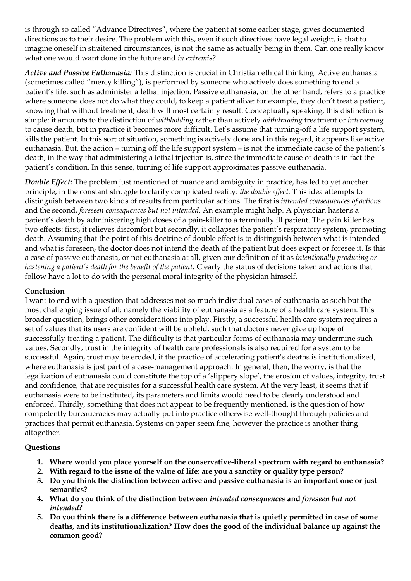is through so called "Advance Directives", where the patient at some earlier stage, gives documented directions as to their desire. The problem with this, even if such directives have legal weight, is that to imagine oneself in straitened circumstances, is not the same as actually being in them. Can one really know what one would want done in the future and *in extremis?*

*Active and Passive Euthanasia:* This distinction is crucial in Christian ethical thinking. Active euthanasia (sometimes called "mercy killing"), is performed by someone who actively does something to end a patient's life, such as administer a lethal injection. Passive euthanasia, on the other hand, refers to a practice where someone does not do what they could, to keep a patient alive: for example, they don't treat a patient, knowing that without treatment, death will most certainly result. Conceptually speaking, this distinction is simple: it amounts to the distinction of *withholding* rather than actively *withdrawing* treatment or *intervening* to cause death, but in practice it becomes more difficult. Let's assume that turning-off a life support system, kills the patient. In this sort of situation, something is actively done and in this regard, it appears like active euthanasia. But, the action – turning off the life support system – is not the immediate cause of the patient's death, in the way that administering a lethal injection is, since the immediate cause of death is in fact the patient's condition. In this sense, turning of life support approximates passive euthanasia.

*Double Effect:* The problem just mentioned of nuance and ambiguity in practice, has led to yet another principle, in the constant struggle to clarify complicated reality: *the double effect.* This idea attempts to distinguish between two kinds of results from particular actions. The first is *intended consequences of actions* and the second, *foreseen consequences but not intended*. An example might help. A physician hastens a patient's death by administering high doses of a pain-killer to a terminally ill patient. The pain killer has two effects: first, it relieves discomfort but secondly, it collapses the patient's respiratory system, promoting death. Assuming that the point of this doctrine of double effect is to distinguish between what is intended and what is foreseen, the doctor does not intend the death of the patient but does expect or foresee it. Is this a case of passive euthanasia, or not euthanasia at all, given our definition of it as *intentionally producing or hastening a patient's death for the benefit of the patient.* Clearly the status of decisions taken and actions that follow have a lot to do with the personal moral integrity of the physician himself.

### **Conclusion**

I want to end with a question that addresses not so much individual cases of euthanasia as such but the most challenging issue of all: namely the viability of euthanasia as a feature of a health care system. This broader question, brings other considerations into play, Firstly, a successful health care system requires a set of values that its users are confident will be upheld, such that doctors never give up hope of successfully treating a patient. The difficulty is that particular forms of euthanasia may undermine such values. Secondly, trust in the integrity of health care professionals is also required for a system to be successful. Again, trust may be eroded, if the practice of accelerating patient's deaths is institutionalized, where euthanasia is just part of a case-management approach. In general, then, the worry, is that the legalization of euthanasia could constitute the top of a 'slippery slope', the erosion of values, integrity, trust and confidence, that are requisites for a successful health care system. At the very least, it seems that if euthanasia were to be instituted, its parameters and limits would need to be clearly understood and enforced. Thirdly, something that does not appear to be frequently mentioned, is the question of how competently bureaucracies may actually put into practice otherwise well-thought through policies and practices that permit euthanasia. Systems on paper seem fine, however the practice is another thing altogether.

#### **Questions**

- **1. Where would you place yourself on the conservative-liberal spectrum with regard to euthanasia?**
- **2. With regard to the issue of the value of life: are you a sanctity or quality type person?**
- **3. Do you think the distinction between active and passive euthanasia is an important one or just semantics?**
- **4. What do you think of the distinction between** *intended consequences* **and** *foreseen but not intended?*
- **5. Do you think there is a difference between euthanasia that is quietly permitted in case of some deaths, and its institutionalization? How does the good of the individual balance up against the common good?**